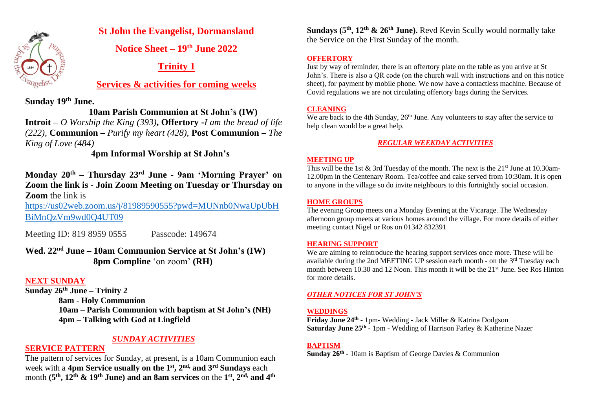

# **St John the Evangelist, Dormansland**

**Notice Sheet – 19 th June 2022**

# **Trinity 1**

# **Services & activities for coming weeks**

**Sunday 19th June.** 

# **10am Parish Communion at St John's (IW)**

**Introit –** *O Worship the King (393)***, Offertory -***I am the bread of life (222),* **Communion –** *Purify my heart (428),* **Post Communion –** *The King of Love (484)*

 **4pm Informal Worship at St John's**

**Monday 20th – Thursday 23rd June - 9am 'Morning Prayer' on Zoom the link is - Join Zoom Meeting on Tuesday or Thursday on Zoom** the link is

[https://us02web.zoom.us/j/81989590555?pwd=MUNnb0NwaUpUbH](https://us02web.zoom.us/j/81989590555?pwd=MUNnb0NwaUpUbHBiMnQzVm9wd0Q4UT09) [BiMnQzVm9wd0Q4UT09](https://us02web.zoom.us/j/81989590555?pwd=MUNnb0NwaUpUbHBiMnQzVm9wd0Q4UT09) 

Meeting ID: 819 8959 0555 Passcode: 149674

**Wed. 22nd June – 10am Communion Service at St John's (IW) 8pm Compline** 'on zoom' **(RH)** 

# **NEXT SUNDAY**

**Sunday 26th June – Trinity 2 8am - Holy Communion 10am – Parish Communion with baptism at St John's (NH) 4pm – Talking with God at Lingfield**

# *SUNDAY ACTIVITIES*

# **SERVICE PATTERN**

The pattern of services for Sunday, at present, is a 10am Communion each week with a **4pm Service usually on the 1st , 2 nd, and 3rd Sundays** each month  $({\bf 5^{\rm th}},{\bf 12^{\rm th}}$  &  ${\bf 19^{\rm th}}$  June) and an 8am services on the  ${\bf 1^{\rm st}},{\bf 2^{\rm nd}},{\bf and\ }{\bf 4^{\rm th}}$ 

**Sundays (5 th , 12 th & 26 th June).** Revd Kevin Scully would normally take the Service on the First Sunday of the month.

### **OFFERTORY**

Just by way of reminder, there is an offertory plate on the table as you arrive at St John's. There is also a QR code (on the church wall with instructions and on this notice sheet), for payment by mobile phone. We now have a contactless machine. Because of Covid regulations we are not circulating offertory bags during the Services.

# **CLEANING**

We are back to the 4th Sunday,  $26<sup>th</sup>$  June. Any volunteers to stay after the service to help clean would be a great help.

# *REGULAR WEEKDAY ACTIVITIES*

## **MEETING UP**

This will be the 1st  $\&$  3rd Tuesday of the month. The next is the 21<sup>st</sup> June at 10.30am-12.00pm in the Centenary Room. Tea/coffee and cake served from 10:30am. It is open to anyone in the village so do invite neighbours to this fortnightly social occasion.

## **HOME GROUPS**

The evening Group meets on a Monday Evening at the Vicarage. The Wednesday afternoon group meets at various homes around the village. For more details of either meeting contact Nigel or Ros on 01342 832391

## **HEARING SUPPORT**

We are aiming to reintroduce the hearing support services once more. These will be available during the 2nd MEETING UP session each month - on the  $3<sup>rd</sup>$  Tuesday each month between 10.30 and 12 Noon. This month it will be the 21<sup>st</sup> June. See Ros Hinton for more details.

## *OTHER NOTICES FOR ST JOHN'S*

# **WEDDINGS**

**Friday June 24th** - 1pm- Wedding - Jack Miller & Katrina Dodgson **Saturday June 25th** - 1pm - Wedding of Harrison Farley & Katherine Nazer

## **BAPTISM**

**Sunday 26th** - 10am is Baptism of George Davies & Communion